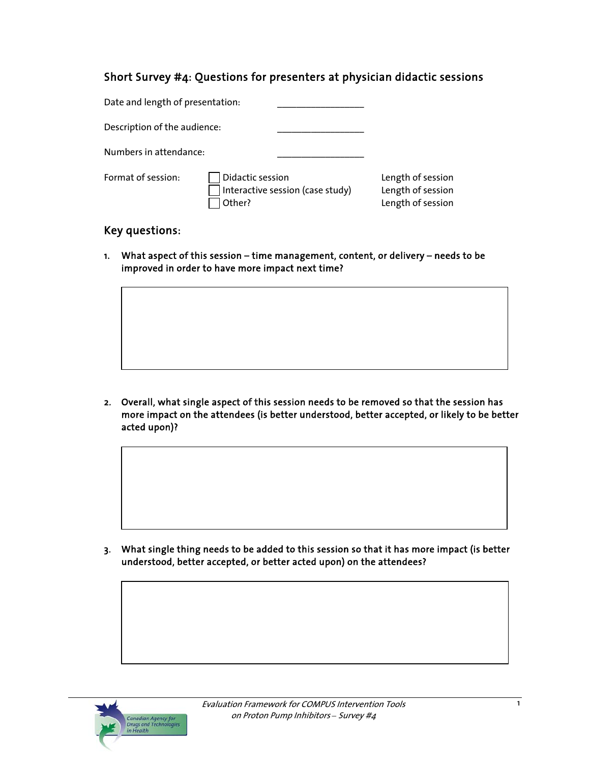# Short Survey #4: Questions for presenters at physician didactic sessions

| Date and length of presentation: |                                                                |                                                             |
|----------------------------------|----------------------------------------------------------------|-------------------------------------------------------------|
| Description of the audience:     |                                                                |                                                             |
| Numbers in attendance:           |                                                                |                                                             |
| Format of session:               | Didactic session<br>Interactive session (case study)<br>Other? | Length of session<br>Length of session<br>Length of session |

## Key questions:

1. What aspect of this session – time management, content, or delivery – needs to be improved in order to have more impact next time?

2. Overall, what single aspect of this session needs to be removed so that the session has more impact on the attendees (is better understood, better accepted, or likely to be better acted upon)?

3. What single thing needs to be added to this session so that it has more impact (is better understood, better accepted, or better acted upon) on the attendees?

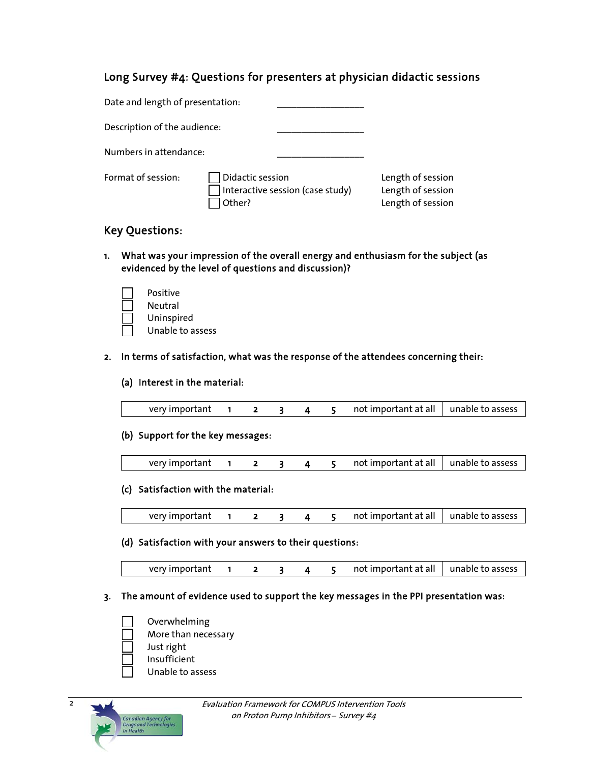## Long Survey #4: Questions for presenters at physician didactic sessions

| Date and length of presentation: |                                                                |                                                             |
|----------------------------------|----------------------------------------------------------------|-------------------------------------------------------------|
| Description of the audience:     |                                                                |                                                             |
| Numbers in attendance:           |                                                                |                                                             |
| Format of session:               | Didactic session<br>Interactive session (case study)<br>Other? | Length of session<br>Length of session<br>Length of session |

# Key Questions:

1. What was your impression of the overall energy and enthusiasm for the subject (as evidenced by the level of questions and discussion)?

| Positive         |
|------------------|
| Neutral          |
| Uninspired       |
| Unable to assess |

## 2. In terms of satisfaction, what was the response of the attendees concerning their:

## (a) Interest in the material:

| very important |  |  |  |  |  | not important at all   unable to assess |  |
|----------------|--|--|--|--|--|-----------------------------------------|--|
|----------------|--|--|--|--|--|-----------------------------------------|--|

#### (b) Support for the key messages:

| very important |  |  |  |  |  | not important at all   unable to assess |  |
|----------------|--|--|--|--|--|-----------------------------------------|--|
|----------------|--|--|--|--|--|-----------------------------------------|--|

## (c) Satisfaction with the material:

very important  $1 \t2 \t3 \t4 \t5 \t not important at all | unable to assess$ 

## (d) Satisfaction with your answers to their questions:

|  | very important |  |  |  |  |  | not important at all $\vert$ unable to assess |  |
|--|----------------|--|--|--|--|--|-----------------------------------------------|--|
|--|----------------|--|--|--|--|--|-----------------------------------------------|--|

## 3. The amount of evidence used to support the key messages in the PPI presentation was:

- Overwhelming
- More than necessary
- Just right
- Insufficient
	- Unable to assess